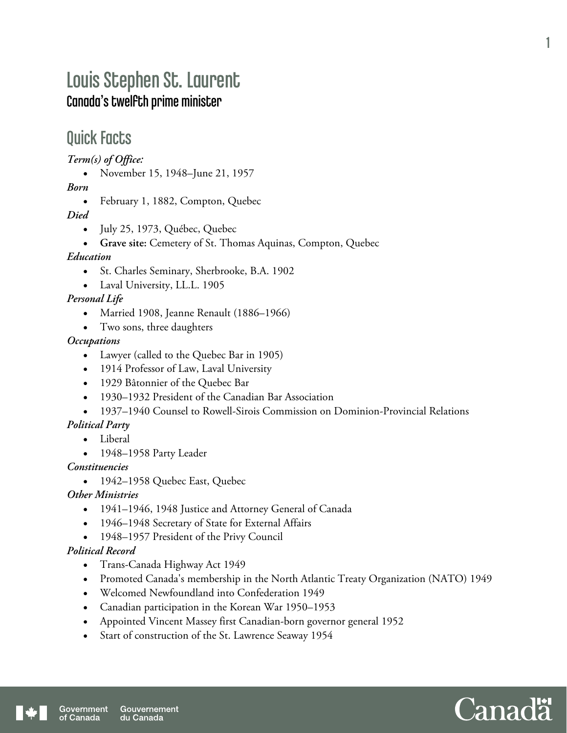# Louis Stephen St. Laurent Canada's twelfth prime minister

## Quick Facts

*Term(s) of Office:* 

• November 15, 1948–June 21, 1957

*Born* 

• February 1, 1882, Compton, Quebec

*Died* 

- July 25, 1973, Québec, Quebec
- **Grave site:** Cemetery of St. Thomas Aquinas, Compton, Quebec

#### *Education*

- St. Charles Seminary, Sherbrooke, B.A. 1902
- Laval University, LL.L. 1905

#### *Personal Life*

- Married 1908, Jeanne Renault (1886–1966)
- Two sons, three daughters

#### *Occupations*

- Lawyer (called to the Quebec Bar in 1905)
- 1914 Professor of Law, Laval University
- 1929 Bâtonnier of the Quebec Bar
- 1930–1932 President of the Canadian Bar Association
- 1937–1940 Counsel to Rowell-Sirois Commission on Dominion-Provincial Relations

#### *Political Party*

- Liberal
- 1948–1958 Party Leader

#### *Constituencies*

• 1942–1958 Quebec East, Quebec

#### *Other Ministries*

- 1941–1946, 1948 Justice and Attorney General of Canada
- 1946–1948 Secretary of State for External Affairs
- 1948–1957 President of the Privy Council

#### *Political Record*

- Trans-Canada Highway Act 1949
- Promoted Canada's membership in the North Atlantic Treaty Organization (NATO) 1949
- Welcomed Newfoundland into Confederation 1949
- Canadian participation in the Korean War 1950–1953
- Appointed Vincent Massey first Canadian-born governor general 1952
- Start of construction of the St. Lawrence Seaway 1954

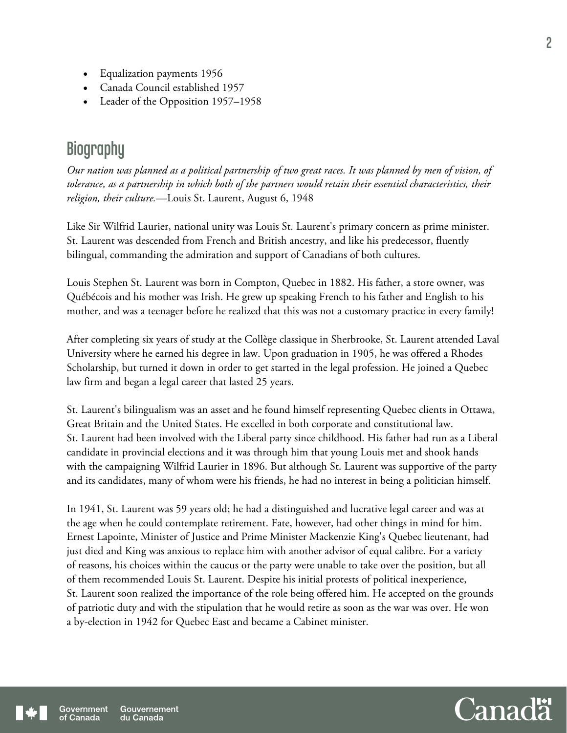- Equalization payments 1956
- Canada Council established 1957
- Leader of the Opposition 1957–1958

## **Biography**

*Our nation was planned as a political partnership of two great races. It was planned by men of vision, of tolerance, as a partnership in which both of the partners would retain their essential characteristics, their religion, their culture.*—Louis St. Laurent, August 6, 1948

Like Sir Wilfrid Laurier, national unity was Louis St. Laurent's primary concern as prime minister. St. Laurent was descended from French and British ancestry, and like his predecessor, fluently bilingual, commanding the admiration and support of Canadians of both cultures.

Louis Stephen St. Laurent was born in Compton, Quebec in 1882. His father, a store owner, was Québécois and his mother was Irish. He grew up speaking French to his father and English to his mother, and was a teenager before he realized that this was not a customary practice in every family!

After completing six years of study at the Collège classique in Sherbrooke, St. Laurent attended Laval University where he earned his degree in law. Upon graduation in 1905, he was offered a Rhodes Scholarship, but turned it down in order to get started in the legal profession. He joined a Quebec law firm and began a legal career that lasted 25 years.

St. Laurent's bilingualism was an asset and he found himself representing Quebec clients in Ottawa, Great Britain and the United States. He excelled in both corporate and constitutional law. St. Laurent had been involved with the Liberal party since childhood. His father had run as a Liberal candidate in provincial elections and it was through him that young Louis met and shook hands with the campaigning Wilfrid Laurier in 1896. But although St. Laurent was supportive of the party and its candidates, many of whom were his friends, he had no interest in being a politician himself.

In 1941, St. Laurent was 59 years old; he had a distinguished and lucrative legal career and was at the age when he could contemplate retirement. Fate, however, had other things in mind for him. Ernest Lapointe, Minister of Justice and Prime Minister Mackenzie King's Quebec lieutenant, had just died and King was anxious to replace him with another advisor of equal calibre. For a variety of reasons, his choices within the caucus or the party were unable to take over the position, but all of them recommended Louis St. Laurent. Despite his initial protests of political inexperience, St. Laurent soon realized the importance of the role being offered him. He accepted on the grounds of patriotic duty and with the stipulation that he would retire as soon as the war was over. He won a by-election in 1942 for Quebec East and became a Cabinet minister.

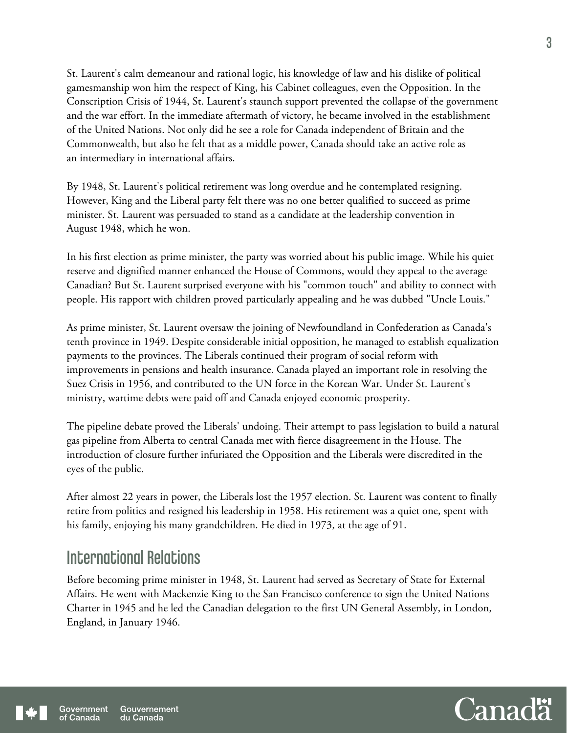St. Laurent's calm demeanour and rational logic, his knowledge of law and his dislike of political gamesmanship won him the respect of King, his Cabinet colleagues, even the Opposition. In the Conscription Crisis of 1944, St. Laurent's staunch support prevented the collapse of the government and the war effort. In the immediate aftermath of victory, he became involved in the establishment of the United Nations. Not only did he see a role for Canada independent of Britain and the Commonwealth, but also he felt that as a middle power, Canada should take an active role as an intermediary in international affairs.

By 1948, St. Laurent's political retirement was long overdue and he contemplated resigning. However, King and the Liberal party felt there was no one better qualified to succeed as prime minister. St. Laurent was persuaded to stand as a candidate at the leadership convention in August 1948, which he won.

In his first election as prime minister, the party was worried about his public image. While his quiet reserve and dignified manner enhanced the House of Commons, would they appeal to the average Canadian? But St. Laurent surprised everyone with his "common touch" and ability to connect with people. His rapport with children proved particularly appealing and he was dubbed "Uncle Louis."

As prime minister, St. Laurent oversaw the joining of Newfoundland in Confederation as Canada's tenth province in 1949. Despite considerable initial opposition, he managed to establish equalization payments to the provinces. The Liberals continued their program of social reform with improvements in pensions and health insurance. Canada played an important role in resolving the Suez Crisis in 1956, and contributed to the UN force in the Korean War. Under St. Laurent's ministry, wartime debts were paid off and Canada enjoyed economic prosperity.

The pipeline debate proved the Liberals' undoing. Their attempt to pass legislation to build a natural gas pipeline from Alberta to central Canada met with fierce disagreement in the House. The introduction of closure further infuriated the Opposition and the Liberals were discredited in the eyes of the public.

After almost 22 years in power, the Liberals lost the 1957 election. St. Laurent was content to finally retire from politics and resigned his leadership in 1958. His retirement was a quiet one, spent with his family, enjoying his many grandchildren. He died in 1973, at the age of 91.

## International Relations

Before becoming prime minister in 1948, St. Laurent had served as Secretary of State for External Affairs. He went with Mackenzie King to the San Francisco conference to sign the United Nations Charter in 1945 and he led the Canadian delegation to the first UN General Assembly, in London, England, in January 1946.

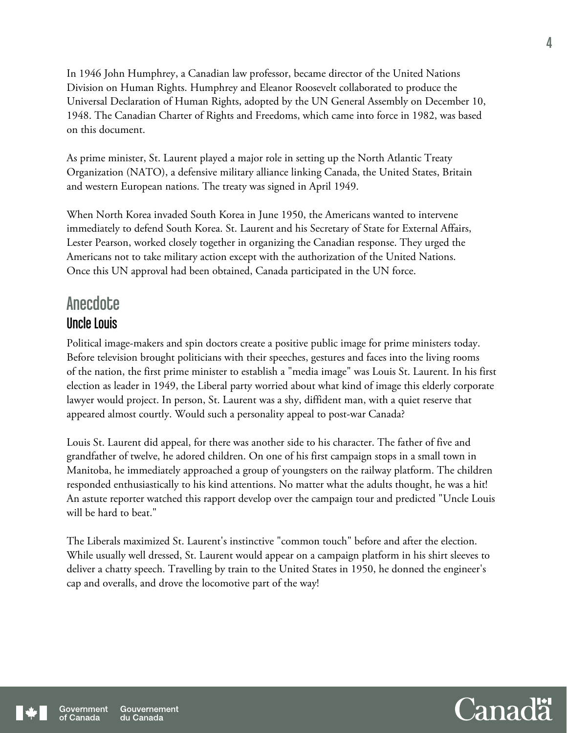In 1946 John Humphrey, a Canadian law professor, became director of the United Nations Division on Human Rights. Humphrey and Eleanor Roosevelt collaborated to produce the Universal Declaration of Human Rights, adopted by the UN General Assembly on December 10, 1948. The Canadian Charter of Rights and Freedoms, which came into force in 1982, was based on this document.

As prime minister, St. Laurent played a major role in setting up the North Atlantic Treaty Organization (NATO), a defensive military alliance linking Canada, the United States, Britain and western European nations. The treaty was signed in April 1949.

When North Korea invaded South Korea in June 1950, the Americans wanted to intervene immediately to defend South Korea. St. Laurent and his Secretary of State for External Affairs, Lester Pearson, worked closely together in organizing the Canadian response. They urged the Americans not to take military action except with the authorization of the United Nations. Once this UN approval had been obtained, Canada participated in the UN force.

## **Anecdote** Uncle Louis

Political image-makers and spin doctors create a positive public image for prime ministers today. Before television brought politicians with their speeches, gestures and faces into the living rooms of the nation, the first prime minister to establish a "media image" was Louis St. Laurent. In his first election as leader in 1949, the Liberal party worried about what kind of image this elderly corporate lawyer would project. In person, St. Laurent was a shy, diffident man, with a quiet reserve that appeared almost courtly. Would such a personality appeal to post-war Canada?

Louis St. Laurent did appeal, for there was another side to his character. The father of five and grandfather of twelve, he adored children. On one of his first campaign stops in a small town in Manitoba, he immediately approached a group of youngsters on the railway platform. The children responded enthusiastically to his kind attentions. No matter what the adults thought, he was a hit! An astute reporter watched this rapport develop over the campaign tour and predicted "Uncle Louis will be hard to beat."

The Liberals maximized St. Laurent's instinctive "common touch" before and after the election. While usually well dressed, St. Laurent would appear on a campaign platform in his shirt sleeves to deliver a chatty speech. Travelling by train to the United States in 1950, he donned the engineer's cap and overalls, and drove the locomotive part of the way!



4